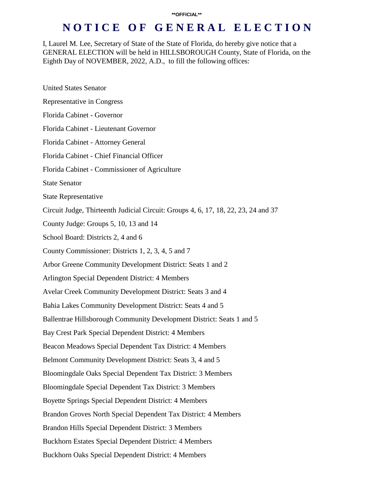I, Laurel M. Lee, Secretary of State of the State of Florida, do hereby give notice that a GENERAL ELECTION will be held in HILLSBOROUGH County, State of Florida, on the Eighth Day of NOVEMBER, 2022, A.D., to fill the following offices:

| <b>United States Senator</b>                                                       |
|------------------------------------------------------------------------------------|
| <b>Representative in Congress</b>                                                  |
| Florida Cabinet - Governor                                                         |
| Florida Cabinet - Lieutenant Governor                                              |
| Florida Cabinet - Attorney General                                                 |
| Florida Cabinet - Chief Financial Officer                                          |
| Florida Cabinet - Commissioner of Agriculture                                      |
| <b>State Senator</b>                                                               |
| <b>State Representative</b>                                                        |
| Circuit Judge, Thirteenth Judicial Circuit: Groups 4, 6, 17, 18, 22, 23, 24 and 37 |
| County Judge: Groups 5, 10, 13 and 14                                              |
| School Board: Districts 2, 4 and 6                                                 |
| County Commissioner: Districts 1, 2, 3, 4, 5 and 7                                 |
| Arbor Greene Community Development District: Seats 1 and 2                         |
| Arlington Special Dependent District: 4 Members                                    |
| Avelar Creek Community Development District: Seats 3 and 4                         |
| Bahia Lakes Community Development District: Seats 4 and 5                          |
| Ballentrae Hillsborough Community Development District: Seats 1 and 5              |
| Bay Crest Park Special Dependent District: 4 Members                               |
| Beacon Meadows Special Dependent Tax District: 4 Members                           |
| Belmont Community Development District: Seats 3, 4 and 5                           |
| Bloomingdale Oaks Special Dependent Tax District: 3 Members                        |
| <b>Bloomingdale Special Dependent Tax District: 3 Members</b>                      |
| <b>Boyette Springs Special Dependent District: 4 Members</b>                       |
| Brandon Groves North Special Dependent Tax District: 4 Members                     |
| Brandon Hills Special Dependent District: 3 Members                                |
| <b>Buckhorn Estates Special Dependent District: 4 Members</b>                      |
| <b>Buckhorn Oaks Special Dependent District: 4 Members</b>                         |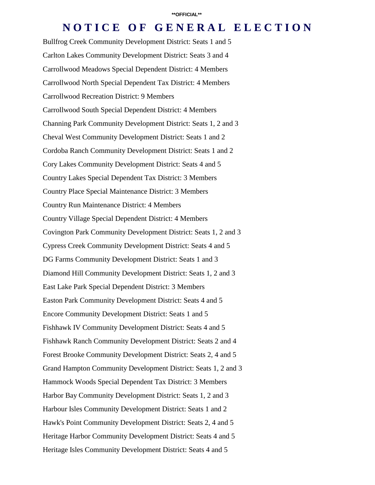Bullfrog Creek Community Development District: Seats 1 and 5 Carlton Lakes Community Development District: Seats 3 and 4 Carrollwood Meadows Special Dependent District: 4 Members Carrollwood North Special Dependent Tax District: 4 Members Carrollwood Recreation District: 9 Members Carrollwood South Special Dependent District: 4 Members Channing Park Community Development District: Seats 1, 2 and 3 Cheval West Community Development District: Seats 1 and 2 Cordoba Ranch Community Development District: Seats 1 and 2 Cory Lakes Community Development District: Seats 4 and 5 Country Lakes Special Dependent Tax District: 3 Members Country Place Special Maintenance District: 3 Members Country Run Maintenance District: 4 Members Country Village Special Dependent District: 4 Members Covington Park Community Development District: Seats 1, 2 and 3 Cypress Creek Community Development District: Seats 4 and 5 DG Farms Community Development District: Seats 1 and 3 Diamond Hill Community Development District: Seats 1, 2 and 3 East Lake Park Special Dependent District: 3 Members Easton Park Community Development District: Seats 4 and 5 Encore Community Development District: Seats 1 and 5 Fishhawk IV Community Development District: Seats 4 and 5 Fishhawk Ranch Community Development District: Seats 2 and 4 Forest Brooke Community Development District: Seats 2, 4 and 5 Grand Hampton Community Development District: Seats 1, 2 and 3 Hammock Woods Special Dependent Tax District: 3 Members Harbor Bay Community Development District: Seats 1, 2 and 3 Harbour Isles Community Development District: Seats 1 and 2 Hawk's Point Community Development District: Seats 2, 4 and 5 Heritage Harbor Community Development District: Seats 4 and 5 Heritage Isles Community Development District: Seats 4 and 5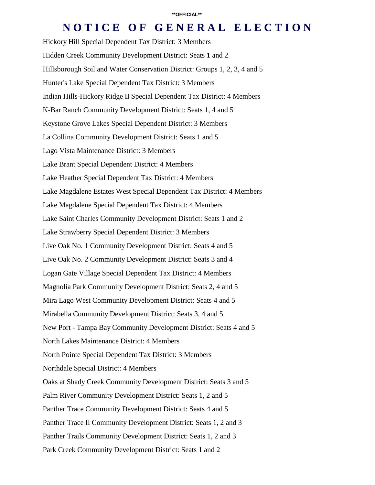Hickory Hill Special Dependent Tax District: 3 Members Hidden Creek Community Development District: Seats 1 and 2 Hillsborough Soil and Water Conservation District: Groups 1, 2, 3, 4 and 5 Hunter's Lake Special Dependent Tax District: 3 Members Indian Hills-Hickory Ridge II Special Dependent Tax District: 4 Members K-Bar Ranch Community Development District: Seats 1, 4 and 5 Keystone Grove Lakes Special Dependent District: 3 Members La Collina Community Development District: Seats 1 and 5 Lago Vista Maintenance District: 3 Members Lake Brant Special Dependent District: 4 Members Lake Heather Special Dependent Tax District: 4 Members Lake Magdalene Estates West Special Dependent Tax District: 4 Members Lake Magdalene Special Dependent Tax District: 4 Members Lake Saint Charles Community Development District: Seats 1 and 2 Lake Strawberry Special Dependent District: 3 Members Live Oak No. 1 Community Development District: Seats 4 and 5 Live Oak No. 2 Community Development District: Seats 3 and 4 Logan Gate Village Special Dependent Tax District: 4 Members Magnolia Park Community Development District: Seats 2, 4 and 5 Mira Lago West Community Development District: Seats 4 and 5 Mirabella Community Development District: Seats 3, 4 and 5 New Port - Tampa Bay Community Development District: Seats 4 and 5 North Lakes Maintenance District: 4 Members North Pointe Special Dependent Tax District: 3 Members Northdale Special District: 4 Members Oaks at Shady Creek Community Development District: Seats 3 and 5 Palm River Community Development District: Seats 1, 2 and 5 Panther Trace Community Development District: Seats 4 and 5 Panther Trace II Community Development District: Seats 1, 2 and 3 Panther Trails Community Development District: Seats 1, 2 and 3 Park Creek Community Development District: Seats 1 and 2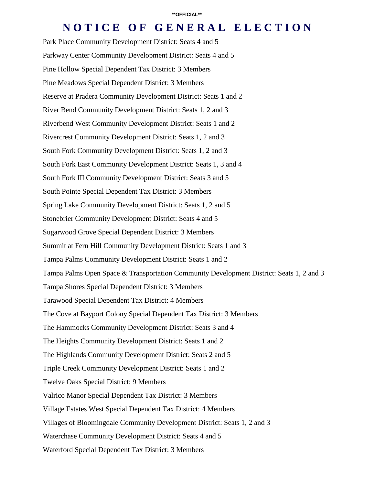Park Place Community Development District: Seats 4 and 5 Parkway Center Community Development District: Seats 4 and 5 Pine Hollow Special Dependent Tax District: 3 Members Pine Meadows Special Dependent District: 3 Members Reserve at Pradera Community Development District: Seats 1 and 2 River Bend Community Development District: Seats 1, 2 and 3 Riverbend West Community Development District: Seats 1 and 2 Rivercrest Community Development District: Seats 1, 2 and 3 South Fork Community Development District: Seats 1, 2 and 3 South Fork East Community Development District: Seats 1, 3 and 4 South Fork III Community Development District: Seats 3 and 5 South Pointe Special Dependent Tax District: 3 Members Spring Lake Community Development District: Seats 1, 2 and 5 Stonebrier Community Development District: Seats 4 and 5 Sugarwood Grove Special Dependent District: 3 Members Summit at Fern Hill Community Development District: Seats 1 and 3 Tampa Palms Community Development District: Seats 1 and 2 Tampa Palms Open Space & Transportation Community Development District: Seats 1, 2 and 3 Tampa Shores Special Dependent District: 3 Members Tarawood Special Dependent Tax District: 4 Members The Cove at Bayport Colony Special Dependent Tax District: 3 Members The Hammocks Community Development District: Seats 3 and 4 The Heights Community Development District: Seats 1 and 2 The Highlands Community Development District: Seats 2 and 5 Triple Creek Community Development District: Seats 1 and 2 Twelve Oaks Special District: 9 Members Valrico Manor Special Dependent Tax District: 3 Members Village Estates West Special Dependent Tax District: 4 Members Villages of Bloomingdale Community Development District: Seats 1, 2 and 3 Waterchase Community Development District: Seats 4 and 5 Waterford Special Dependent Tax District: 3 Members